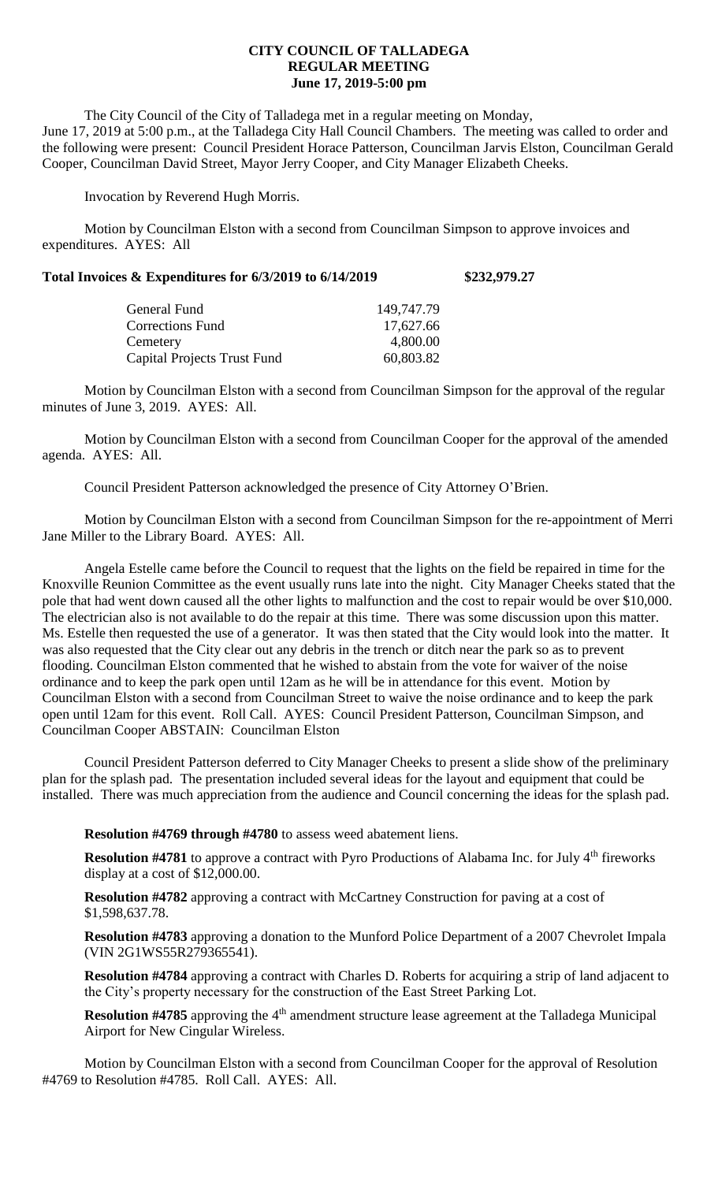## **CITY COUNCIL OF TALLADEGA REGULAR MEETING June 17, 2019-5:00 pm**

The City Council of the City of Talladega met in a regular meeting on Monday, June 17, 2019 at 5:00 p.m., at the Talladega City Hall Council Chambers. The meeting was called to order and the following were present: Council President Horace Patterson, Councilman Jarvis Elston, Councilman Gerald Cooper, Councilman David Street, Mayor Jerry Cooper, and City Manager Elizabeth Cheeks.

Invocation by Reverend Hugh Morris.

Motion by Councilman Elston with a second from Councilman Simpson to approve invoices and expenditures. AYES: All

| Total Invoices & Expenditures for 6/3/2019 to 6/14/2019 |  |                   | \$232,979.27 |
|---------------------------------------------------------|--|-------------------|--------------|
|                                                         |  |                   |              |
|                                                         |  | $1.10 \pm 1.7.70$ |              |

| General Fund                       | 149,747.79 |
|------------------------------------|------------|
| <b>Corrections Fund</b>            | 17,627.66  |
| Cemetery                           | 4,800.00   |
| <b>Capital Projects Trust Fund</b> | 60,803.82  |

Motion by Councilman Elston with a second from Councilman Simpson for the approval of the regular minutes of June 3, 2019. AYES: All.

Motion by Councilman Elston with a second from Councilman Cooper for the approval of the amended agenda. AYES: All.

Council President Patterson acknowledged the presence of City Attorney O'Brien.

Motion by Councilman Elston with a second from Councilman Simpson for the re-appointment of Merri Jane Miller to the Library Board. AYES: All.

Angela Estelle came before the Council to request that the lights on the field be repaired in time for the Knoxville Reunion Committee as the event usually runs late into the night. City Manager Cheeks stated that the pole that had went down caused all the other lights to malfunction and the cost to repair would be over \$10,000. The electrician also is not available to do the repair at this time. There was some discussion upon this matter. Ms. Estelle then requested the use of a generator. It was then stated that the City would look into the matter. It was also requested that the City clear out any debris in the trench or ditch near the park so as to prevent flooding. Councilman Elston commented that he wished to abstain from the vote for waiver of the noise ordinance and to keep the park open until 12am as he will be in attendance for this event. Motion by Councilman Elston with a second from Councilman Street to waive the noise ordinance and to keep the park open until 12am for this event. Roll Call. AYES: Council President Patterson, Councilman Simpson, and Councilman Cooper ABSTAIN: Councilman Elston

Council President Patterson deferred to City Manager Cheeks to present a slide show of the preliminary plan for the splash pad. The presentation included several ideas for the layout and equipment that could be installed. There was much appreciation from the audience and Council concerning the ideas for the splash pad.

**Resolution #4769 through #4780** to assess weed abatement liens.

**Resolution #4781** to approve a contract with Pyro Productions of Alabama Inc. for July 4<sup>th</sup> fireworks display at a cost of \$12,000.00.

**Resolution #4782** approving a contract with McCartney Construction for paving at a cost of \$1,598,637.78.

**Resolution #4783** approving a donation to the Munford Police Department of a 2007 Chevrolet Impala (VIN 2G1WS55R279365541).

**Resolution #4784** approving a contract with Charles D. Roberts for acquiring a strip of land adjacent to the City's property necessary for the construction of the East Street Parking Lot.

**Resolution #4785** approving the 4<sup>th</sup> amendment structure lease agreement at the Talladega Municipal Airport for New Cingular Wireless.

Motion by Councilman Elston with a second from Councilman Cooper for the approval of Resolution #4769 to Resolution #4785. Roll Call. AYES: All.